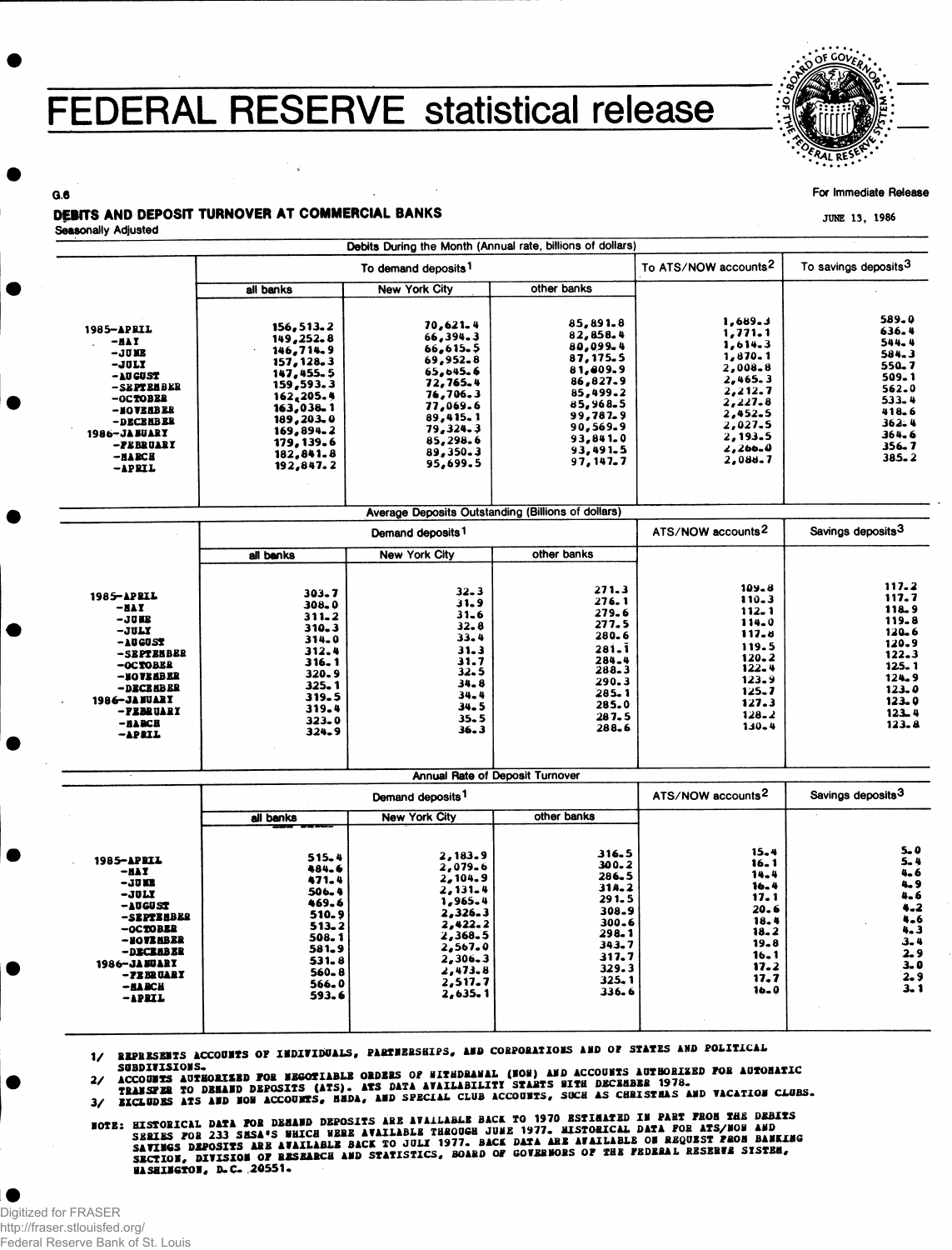## FEDERAL RESERVE statistical release



For Immediate Release

JUNE 13, 1986

## DEBITS AND DEPOSIT TURNOVER AT COMMERCIAL BANKS

Seasonally Adjusted

 $0.6$ 

|                     |                    | Debits During the Month (Annual rate, billions of dollars)<br>To demand deposits <sup>1</sup> | To ATS/NOW accounts <sup>2</sup>                          | To savings deposits <sup>3</sup> |                                |
|---------------------|--------------------|-----------------------------------------------------------------------------------------------|-----------------------------------------------------------|----------------------------------|--------------------------------|
|                     | all banks          | <b>New York City</b>                                                                          | other banks                                               |                                  |                                |
|                     |                    |                                                                                               |                                                           |                                  |                                |
| 1985-APRIL          | 156, 513.2         | 70,621.4                                                                                      | 85,891.8                                                  | 1,689.3                          | 589.0                          |
| -NAT                | 149,252.8          | 66,394.3                                                                                      | 82,858.4                                                  | 1,771.1                          | 636.4<br>544.4                 |
| –JUNE               | 146,714.9          | 66, 615.5                                                                                     | 80,099.4                                                  | 1,614.3                          | 584.3                          |
| $-JULI$             | 157, 128, 3        | 69,952.8                                                                                      | 87, 175.5                                                 | 1,870.1                          | 550.7                          |
| -AU GUST            | 147, 455, 5        | 65,645.6                                                                                      | 81,809.9                                                  | 2,008.8                          | 509.1                          |
| -SEPTEMBER          | 159,593.3          | 72,765.4                                                                                      | 86,827.9                                                  | 2,465.3                          | 562.0                          |
| -OCTOBER            | 162, 205.4         | 76,706.3                                                                                      | 85,499.2                                                  | 2,212.7<br>2,227.8               | 533.4                          |
| -NOVERBER           | 163,038.1          | 77,069.6                                                                                      | 85,968.5                                                  | 2,452.5                          | 418.6                          |
| -DECEABER           | 189,203.0          | 89,415.1                                                                                      | 99,787.9<br>90,569.9                                      | 2,027.5                          | 362.4                          |
| 1986-JA BUARY       | 169,894.2          | 79,324.3                                                                                      | 93,841.0                                                  | 2,193.5                          | 364.6                          |
| -PEBRUARY           | 179, 139.6         | 85,298.6                                                                                      | 93,491.5                                                  | 2,266.0                          | $356 - 7$                      |
| $-MABCB$            | 182,841.8          | 89,350.3<br>95,699.5                                                                          | 97,147,7                                                  | 2,088.7                          | $385 - 2$                      |
| -APRIL              | 192,847.2          |                                                                                               |                                                           |                                  |                                |
|                     |                    |                                                                                               | <b>Average Deposits Outstanding (Billions of dollars)</b> |                                  |                                |
|                     |                    | Demand deposits <sup>1</sup>                                                                  |                                                           | ATS/NOW accounts <sup>2</sup>    | Savings deposits <sup>3</sup>  |
|                     | all banks          | <b>New York City</b>                                                                          | other banks                                               |                                  |                                |
|                     |                    |                                                                                               |                                                           |                                  |                                |
|                     | 303.7              | $32 - 3$                                                                                      | 271.3                                                     | $109 - 8$                        | 117.2                          |
| 1985-APRIL          | $308 - 0$          | 31.9                                                                                          | 276.1                                                     | 110.3                            | 117.7                          |
| -nav<br>$-JUB$      | $311 - 2$          | $31 - 6$                                                                                      | 279.6                                                     | $112 - 1$                        | 118.9                          |
| $-JULY$             | $310 - 3$          | $32 - 8$                                                                                      | 277.5                                                     | 114.0                            | 119.8<br>120.6                 |
| -AUGUST             | 314.0              | 33.4                                                                                          | 280.6                                                     | 117.6                            | 120.9                          |
| -SEPTENBER          | 312.4              | $31 - 3$                                                                                      | 281.1                                                     | 119.5                            | 122.3                          |
| -OCTOBER            | 316.1              | 31.7                                                                                          | 284.4                                                     | $120 - 2$<br>$122 - 4$           | 125.1                          |
| -NOVEABER           | 320.9              | $32 - 5$                                                                                      | 288.3                                                     | 123.9                            | 124.9                          |
| -DECEMBER           | 325.1              | 34.8                                                                                          | 290.3<br>285.1                                            | 125.7                            | 123.0                          |
| 1986-JANUART        | 319.5              | $34 - 4$                                                                                      | 285.0                                                     | 127.3                            | $123 - 9$                      |
| -PEBRUARY           | 319.4              | $34 - 5$<br>$35 - 5$                                                                          | 287.5                                                     | $128 - 2$                        | $123 - 4$                      |
| $-$ BARCH<br>-APRIL | $323 - 0$<br>324.9 | 36.3                                                                                          | 288.6                                                     | $130 - 4$                        | 123.8                          |
|                     |                    |                                                                                               |                                                           |                                  |                                |
|                     |                    | <b>Annual Rate of Deposit Turnover</b>                                                        |                                                           | Savings deposits <sup>3</sup>    |                                |
|                     |                    | Demand deposits <sup>1</sup><br><b>New York City</b>                                          | other banks                                               | ATS/NOW accounts <sup>2</sup>    |                                |
|                     | all banks          |                                                                                               |                                                           |                                  |                                |
| 1985 <b>– April</b> | 515.4              | 2,183.9                                                                                       | 316.5                                                     | $15 - 4$                         | 5.0<br>$5 - 4$                 |
| $-BAT$              | 484.6              | 2,079.6                                                                                       | 300.2                                                     | $16 - 1$                         | 4.6                            |
| $-1012$             | 471.4              | 2,104.9                                                                                       | 286.5                                                     | 14.4<br>16.4                     | 4.9                            |
| $-1011$             | 506.4              | $2,131 - 4$                                                                                   | 314.2                                                     | 17.1                             |                                |
| $-10GJST$           | 469.6              | 1,965.4                                                                                       | 291.5<br>308.9                                            | 20.6                             | $4.6$<br>$4.2$                 |
| -SEPTERBER          | 510.9              | 2,326.3                                                                                       | 300.6                                                     | 18.4                             | $4 - 6$                        |
| -OCTOBER            | $513 - 2$          | 2,422.2<br>2,368.5                                                                            | 298.1                                                     | $18 - 2$                         | 4.3                            |
| -NO <b>VE</b> ABER  | 508.1              | 2,567.0                                                                                       | 343.7                                                     | $19 - 8$                         | $3 - 4$                        |
| -DECEABER           | 581.9<br>$531 - 8$ | $2,306 - 3$                                                                                   | 317.7                                                     | $16 - 1$                         | $\frac{2.9}{3.0}$              |
| 1986-JANUARY        | $560 - 8$          | 2,473.8                                                                                       | 329.3                                                     | 17.2                             |                                |
| -FEBRUARY           | 566.0              | 2,517.7                                                                                       | 325.1                                                     | 17.7                             | $\frac{2}{3}$<br>$\frac{9}{3}$ |
| — на вси            |                    |                                                                                               | 336.6                                                     | $16 - 0$                         |                                |

1/ REPRESENTS ACCOUNTS OF INDIVIDUALS, PARTNERSHIPS, AND CORPORATIONS AND OF STATES AND POLITICAL

SUBDINISIONS.<br>ACCOUNTS AUTHORIZED FOR NEGOTIABLE ORDERS OF NITHDRANAL (NON) AND ACCOUNTS AUTHORIZED FOR AUTOMATIC<br>TRANSFER TO DEMAND DEPOSITS (ATS). ATS DATA AVAILABILITI STARTS HITH DECEMBER 1978.<br>EICLUDES ATS AND NON ACC  $\mathbf{z}_{\ell}$ 

 $\frac{3}{2}$ 

**NOTE: HISTORICAL DATA POR DEMAND DEPOSITS ARE AVAILABLE BACK TO 1970 ESTIMATED IN PART PROM THE DEBITS**<br>SERIES POR 233 SMSA'S WHICH WERE AVAILABLE THROUGH JUNE 1977. HISTORICAL DATA FOR ATS/NOW AND<br>SAVINGS DEPOSITS ARE AV